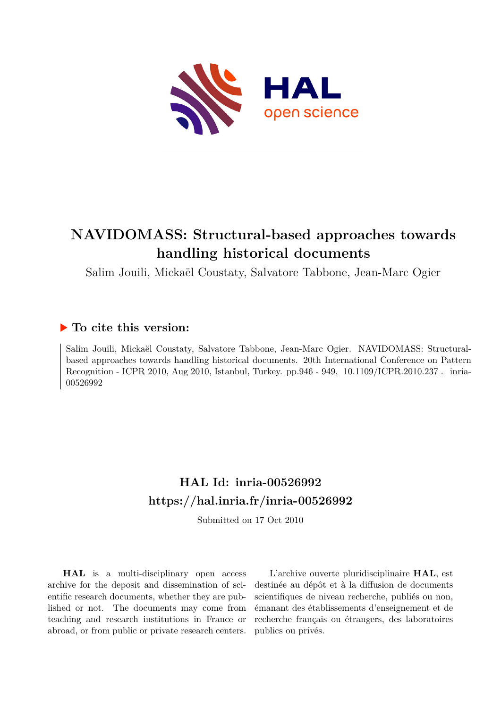

# **NAVIDOMASS: Structural-based approaches towards handling historical documents**

Salim Jouili, Mickaël Coustaty, Salvatore Tabbone, Jean-Marc Ogier

# **To cite this version:**

Salim Jouili, Mickaël Coustaty, Salvatore Tabbone, Jean-Marc Ogier. NAVIDOMASS: Structuralbased approaches towards handling historical documents. 20th International Conference on Pattern Recognition - ICPR 2010, Aug 2010, Istanbul, Turkey. pp.946 - 949, 10.1109/ICPR.2010.237. inria-00526992ff

# **HAL Id: inria-00526992 <https://hal.inria.fr/inria-00526992>**

Submitted on 17 Oct 2010

**HAL** is a multi-disciplinary open access archive for the deposit and dissemination of scientific research documents, whether they are published or not. The documents may come from teaching and research institutions in France or abroad, or from public or private research centers.

L'archive ouverte pluridisciplinaire **HAL**, est destinée au dépôt et à la diffusion de documents scientifiques de niveau recherche, publiés ou non, émanant des établissements d'enseignement et de recherche français ou étrangers, des laboratoires publics ou privés.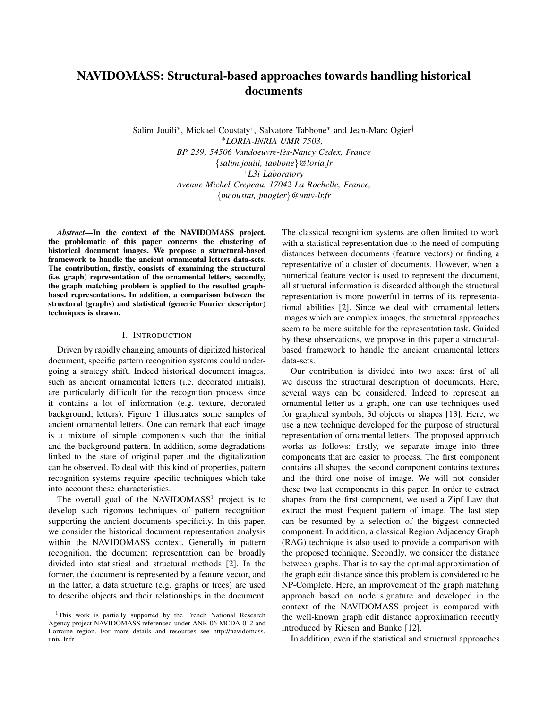# **NAVIDOMASS: Structural-based approaches towards handling historical documents**

Salim Jouili<sup>∗</sup> , Mickael Coustaty† , Salvatore Tabbone<sup>∗</sup> and Jean-Marc Ogier† <sup>∗</sup>*LORIA-INRIA UMR 7503, BP 239, 54506 Vandoeuvre-les-Nancy Cedex, France `* {*salim.jouili, tabbone*}*@loria.fr* †*L3i Laboratory Avenue Michel Crepeau, 17042 La Rochelle, France,* {*mcoustat, jmogier*}*@univ-lr.fr*

*Abstract***—In the context of the NAVIDOMASS project, the problematic of this paper concerns the clustering of historical document images. We propose a structural-based framework to handle the ancient ornamental letters data-sets. The contribution, firstly, consists of examining the structural (i.e. graph) representation of the ornamental letters, secondly, the graph matching problem is applied to the resulted graphbased representations. In addition, a comparison between the structural (graphs) and statistical (generic Fourier descriptor) techniques is drawn.**

#### I. INTRODUCTION

Driven by rapidly changing amounts of digitized historical document, specific pattern recognition systems could undergoing a strategy shift. Indeed historical document images, such as ancient ornamental letters (i.e. decorated initials), are particularly difficult for the recognition process since it contains a lot of information (e.g. texture, decorated background, letters). Figure 1 illustrates some samples of ancient ornamental letters. One can remark that each image is a mixture of simple components such that the initial and the background pattern. In addition, some degradations linked to the state of original paper and the digitalization can be observed. To deal with this kind of properties, pattern recognition systems require specific techniques which take into account these characteristics.

The overall goal of the NAVIDOMASS<sup>1</sup> project is to develop such rigorous techniques of pattern recognition supporting the ancient documents specificity. In this paper, we consider the historical document representation analysis within the NAVIDOMASS context. Generally in pattern recognition, the document representation can be broadly divided into statistical and structural methods [2]. In the former, the document is represented by a feature vector, and in the latter, a data structure (e.g. graphs or trees) are used to describe objects and their relationships in the document. The classical recognition systems are often limited to work with a statistical representation due to the need of computing distances between documents (feature vectors) or finding a representative of a cluster of documents. However, when a numerical feature vector is used to represent the document, all structural information is discarded although the structural representation is more powerful in terms of its representational abilities [2]. Since we deal with ornamental letters images which are complex images, the structural approaches seem to be more suitable for the representation task. Guided by these observations, we propose in this paper a structuralbased framework to handle the ancient ornamental letters data-sets.

Our contribution is divided into two axes: first of all we discuss the structural description of documents. Here, several ways can be considered. Indeed to represent an ornamental letter as a graph, one can use techniques used for graphical symbols, 3d objects or shapes [13]. Here, we use a new technique developed for the purpose of structural representation of ornamental letters. The proposed approach works as follows: firstly, we separate image into three components that are easier to process. The first component contains all shapes, the second component contains textures and the third one noise of image. We will not consider these two last components in this paper. In order to extract shapes from the first component, we used a Zipf Law that extract the most frequent pattern of image. The last step can be resumed by a selection of the biggest connected component. In addition, a classical Region Adjacency Graph (RAG) technique is also used to provide a comparison with the proposed technique. Secondly, we consider the distance between graphs. That is to say the optimal approximation of the graph edit distance since this problem is considered to be NP-Complete. Here, an improvement of the graph matching approach based on node signature and developed in the context of the NAVIDOMASS project is compared with the well-known graph edit distance approximation recently introduced by Riesen and Bunke [12].

In addition, even if the statistical and structural approaches

<sup>&</sup>lt;sup>1</sup>This work is partially supported by the French National Research Agency project NAVIDOMASS referenced under ANR-06-MCDA-012 and Lorraine region. For more details and resources see http://navidomass. univ-lr.fr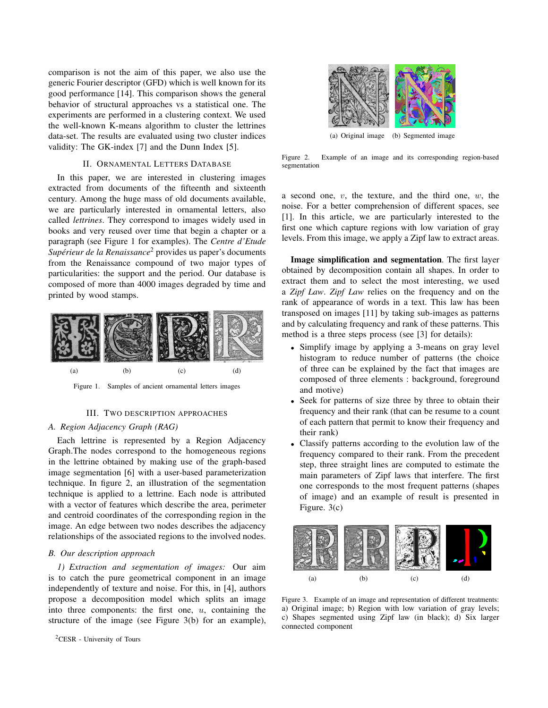comparison is not the aim of this paper, we also use the generic Fourier descriptor (GFD) which is well known for its good performance [14]. This comparison shows the general behavior of structural approaches vs a statistical one. The experiments are performed in a clustering context. We used the well-known K-means algorithm to cluster the lettrines data-set. The results are evaluated using two cluster indices validity: The GK-index [7] and the Dunn Index [5].

### II. ORNAMENTAL LETTERS DATABASE

In this paper, we are interested in clustering images extracted from documents of the fifteenth and sixteenth century. Among the huge mass of old documents available, we are particularly interested in ornamental letters, also called *lettrines*. They correspond to images widely used in books and very reused over time that begin a chapter or a paragraph (see Figure 1 for examples). The *Centre d'Etude* Supérieur de la Renaissance<sup>2</sup> provides us paper's documents from the Renaissance compound of two major types of particularities: the support and the period. Our database is composed of more than 4000 images degraded by time and printed by wood stamps.



Figure 1. Samples of ancient ornamental letters images

#### III. TWO DESCRIPTION APPROACHES

### *A. Region Adjacency Graph (RAG)*

Each lettrine is represented by a Region Adjacency Graph.The nodes correspond to the homogeneous regions in the lettrine obtained by making use of the graph-based image segmentation [6] with a user-based parameterization technique. In figure 2, an illustration of the segmentation technique is applied to a lettrine. Each node is attributed with a vector of features which describe the area, perimeter and centroid coordinates of the corresponding region in the image. An edge between two nodes describes the adjacency relationships of the associated regions to the involved nodes.

#### *B. Our description approach*

*1) Extraction and segmentation of images:* Our aim is to catch the pure geometrical component in an image independently of texture and noise. For this, in [4], authors propose a decomposition model which splits an image into three components: the first one,  $u$ , containing the structure of the image (see Figure 3(b) for an example),





(a) Original image (b) Segmented image

Figure 2. Example of an image and its corresponding region-based segmentation

a second one,  $v$ , the texture, and the third one,  $w$ , the noise. For a better comprehension of different spaces, see [1]. In this article, we are particularly interested to the first one which capture regions with low variation of gray levels. From this image, we apply a Zipf law to extract areas.

**Image simplification and segmentation**. The first layer obtained by decomposition contain all shapes. In order to extract them and to select the most interesting, we used a *Zipf Law*. *Zipf Law* relies on the frequency and on the rank of appearance of words in a text. This law has been transposed on images [11] by taking sub-images as patterns and by calculating frequency and rank of these patterns. This method is a three steps process (see [3] for details):

- Simplify image by applying a 3-means on gray level histogram to reduce number of patterns (the choice of three can be explained by the fact that images are composed of three elements : background, foreground and motive)
- Seek for patterns of size three by three to obtain their frequency and their rank (that can be resume to a count of each pattern that permit to know their frequency and their rank)
- Classify patterns according to the evolution law of the frequency compared to their rank. From the precedent step, three straight lines are computed to estimate the main parameters of Zipf laws that interfere. The first one corresponds to the most frequent patterns (shapes of image) and an example of result is presented in Figure. 3(c)



Figure 3. Example of an image and representation of different treatments: a) Original image; b) Region with low variation of gray levels; c) Shapes segmented using Zipf law (in black); d) Six larger connected component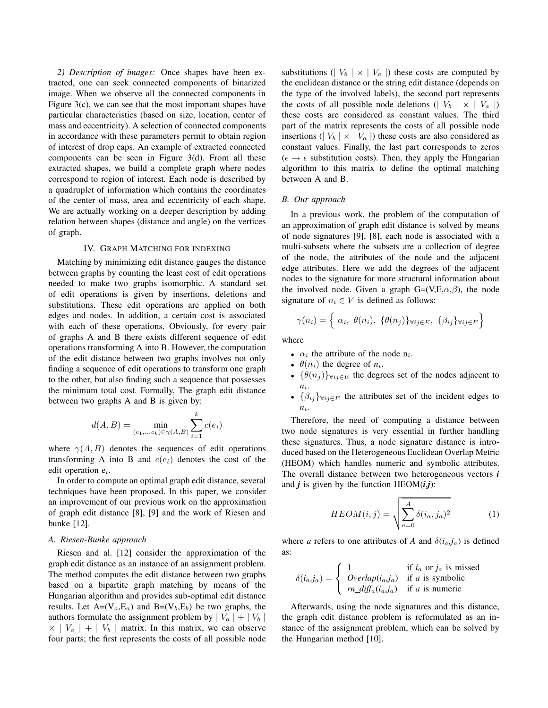*2) Description of images:* Once shapes have been extracted, one can seek connected components of binarized image. When we observe all the connected components in Figure 3(c), we can see that the most important shapes have particular characteristics (based on size, location, center of mass and eccentricity). A selection of connected components in accordance with these parameters permit to obtain region of interest of drop caps. An example of extracted connected components can be seen in Figure 3(d). From all these extracted shapes, we build a complete graph where nodes correspond to region of interest. Each node is described by a quadruplet of information which contains the coordinates of the center of mass, area and eccentricity of each shape. We are actually working on a deeper description by adding relation between shapes (distance and angle) on the vertices of graph.

## IV. GRAPH MATCHING FOR INDEXING

Matching by minimizing edit distance gauges the distance between graphs by counting the least cost of edit operations needed to make two graphs isomorphic. A standard set of edit operations is given by insertions, deletions and substitutions. These edit operations are applied on both edges and nodes. In addition, a certain cost is associated with each of these operations. Obviously, for every pair of graphs A and B there exists different sequence of edit operations transforming A into B. However, the computation of the edit distance between two graphs involves not only finding a sequence of edit operations to transform one graph to the other, but also finding such a sequence that possesses the minimum total cost. Formally, The graph edit distance between two graphs A and B is given by:

$$
d(A, B) = \min_{(e_1, ..., e_k) \in \gamma(A, B)} \sum_{i=1}^{k} c(e_i)
$$

where  $\gamma(A, B)$  denotes the sequences of edit operations transforming A into B and  $c(e_i)$  denotes the cost of the edit operation  $e_i$ .

In order to compute an optimal graph edit distance, several techniques have been proposed. In this paper, we consider an improvement of our previous work on the approximation of graph edit distance [8], [9] and the work of Riesen and bunke [12].

#### *A. Riesen-Bunke approach*

Riesen and al. [12] consider the approximation of the graph edit distance as an instance of an assignment problem. The method computes the edit distance between two graphs based on a bipartite graph matching by means of the Hungarian algorithm and provides sub-optimal edit distance results. Let  $A=(V_a,E_a)$  and  $B=(V_b,E_b)$  be two graphs, the authors formulate the assignment problem by  $|V_a| + |V_b|$  $\times$  |  $V_a$  | + |  $V_b$  | matrix. In this matrix, we can observe four parts; the first represents the costs of all possible node substitutions ( $|V_b| \times |V_a|$ ) these costs are computed by the euclidean distance or the string edit distance (depends on the type of the involved labels), the second part represents the costs of all possible node deletions ( $|V_b| \times |V_a|$ ) these costs are considered as constant values. The third part of the matrix represents the costs of all possible node insertions ( $|V_b| \times |V_a|$ ) these costs are also considered as constant values. Finally, the last part corresponds to zeros  $(\epsilon \rightarrow \epsilon$  substitution costs). Then, they apply the Hungarian algorithm to this matrix to define the optimal matching between A and B.

#### *B. Our approach*

In a previous work, the problem of the computation of an approximation of graph edit distance is solved by means of node signatures [9], [8], each node is associated with a multi-subsets where the subsets are a collection of degree of the node, the attributes of the node and the adjacent edge attributes. Here we add the degrees of the adjacent nodes to the signature for more structural information about the involved node. Given a graph  $G=(V,E,\alpha,\beta)$ , the node signature of  $n_i \in V$  is defined as follows:

$$
\gamma(n_i) = \left\{ \alpha_i, \ \theta(n_i), \ \{\theta(n_j)\}_{\forall ij \in E}, \ \{\beta_{ij}\}_{\forall ij \in E} \right\}
$$

where

- $\alpha_i$  the attribute of the node  $n_i$ .
- $\theta(n_i)$  the degree of  $n_i$ .
- $\{\theta(n_i)\}_{\forall i,j \in E}$  the degrees set of the nodes adjacent to *n*i .
- $\{\beta_{ij}\}_{\forall ij\in E}$  the attributes set of the incident edges to  $n_i$ .

Therefore, the need of computing a distance between two node signatures is very essential in further handling these signatures. Thus, a node signature distance is introduced based on the Heterogeneous Euclidean Overlap Metric (HEOM) which handles numeric and symbolic attributes. The overall distance between two heterogeneous vectors *i* and  $j$  is given by the function HEOM $(i,j)$ :

$$
HEOM(i,j) = \sqrt{\sum_{a=0}^{A} \delta(i_a, j_a)^2}
$$
 (1)

where *a* refers to one attributes of *A* and  $\delta(i_a, j_a)$  is defined as:

$$
\delta(i_a, j_a) = \begin{cases}\n1 & \text{if } i_a \text{ or } j_a \text{ is missed} \\
\text{Overlap}(i_a, j_a) & \text{if } a \text{ is symbolic} \\
rn\_diff_a(i_a, j_a) & \text{if } a \text{ is numeric}\n\end{cases}
$$

Afterwards, using the node signatures and this distance, the graph edit distance problem is reformulated as an instance of the assignment problem, which can be solved by the Hungarian method [10].